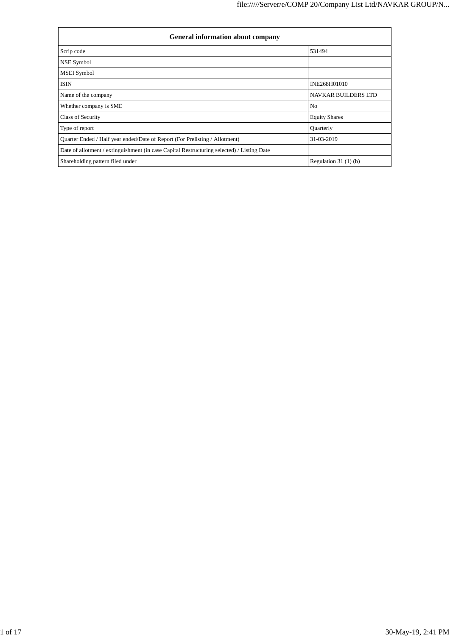| <b>General information about company</b>                                                   |                            |  |  |  |  |  |
|--------------------------------------------------------------------------------------------|----------------------------|--|--|--|--|--|
| Scrip code                                                                                 | 531494                     |  |  |  |  |  |
| NSE Symbol                                                                                 |                            |  |  |  |  |  |
| <b>MSEI</b> Symbol                                                                         |                            |  |  |  |  |  |
| <b>ISIN</b>                                                                                | INE268H01010               |  |  |  |  |  |
| Name of the company                                                                        | <b>NAVKAR BUILDERS LTD</b> |  |  |  |  |  |
| Whether company is SME                                                                     | N <sub>o</sub>             |  |  |  |  |  |
| Class of Security                                                                          | <b>Equity Shares</b>       |  |  |  |  |  |
| Type of report                                                                             | Quarterly                  |  |  |  |  |  |
| Quarter Ended / Half year ended/Date of Report (For Prelisting / Allotment)                | 31-03-2019                 |  |  |  |  |  |
| Date of allotment / extinguishment (in case Capital Restructuring selected) / Listing Date |                            |  |  |  |  |  |
| Shareholding pattern filed under                                                           | Regulation $31(1)(b)$      |  |  |  |  |  |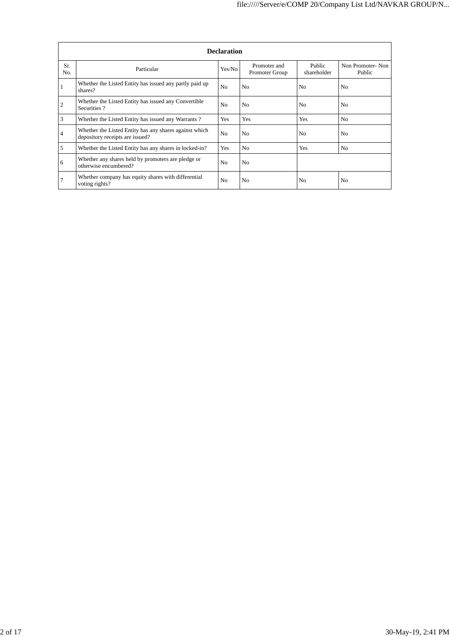|            | <b>Declaration</b>                                                                        |                |                                |                       |                            |  |  |  |  |
|------------|-------------------------------------------------------------------------------------------|----------------|--------------------------------|-----------------------|----------------------------|--|--|--|--|
| Sr.<br>No. | Particular                                                                                | Yes/No         | Promoter and<br>Promoter Group | Public<br>shareholder | Non Promoter-Non<br>Public |  |  |  |  |
|            | Whether the Listed Entity has issued any partly paid up<br>shares?                        | N <sub>o</sub> | N <sub>0</sub>                 | N <sub>0</sub>        | N <sub>0</sub>             |  |  |  |  |
| 2          | Whether the Listed Entity has issued any Convertible<br>Securities?                       | N <sub>0</sub> | N <sub>0</sub>                 | N <sub>0</sub>        | N <sub>0</sub>             |  |  |  |  |
| 3          | Whether the Listed Entity has issued any Warrants?                                        | Yes            | Yes                            | Yes                   | N <sub>0</sub>             |  |  |  |  |
| 4          | Whether the Listed Entity has any shares against which<br>depository receipts are issued? | N <sub>0</sub> | No.                            | N <sub>0</sub>        | N <sub>0</sub>             |  |  |  |  |
| 5          | Whether the Listed Entity has any shares in locked-in?                                    | Yes            | N <sub>0</sub>                 | Yes                   | N <sub>0</sub>             |  |  |  |  |
| 6          | Whether any shares held by promoters are pledge or<br>otherwise encumbered?               | N <sub>0</sub> | No                             |                       |                            |  |  |  |  |
|            | Whether company has equity shares with differential<br>voting rights?                     | N <sub>0</sub> | N <sub>0</sub>                 | N <sub>0</sub>        | N <sub>0</sub>             |  |  |  |  |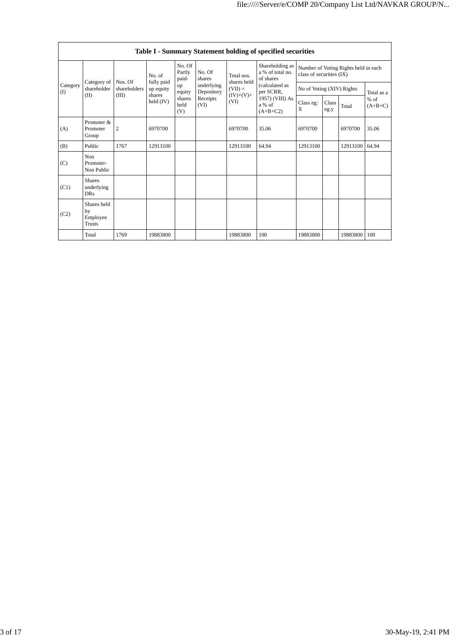|                 |                                           |                         |                           |                  |                          |                                                  | Table I - Summary Statement holding of specified securities      |                           |       |                     |            |
|-----------------|-------------------------------------------|-------------------------|---------------------------|------------------|--------------------------|--------------------------------------------------|------------------------------------------------------------------|---------------------------|-------|---------------------|------------|
|                 |                                           | No. of                  | No. Of<br>Partly<br>paid- | No. Of<br>shares | Total nos.               | Shareholding as<br>a % of total no.<br>of shares | Number of Voting Rights held in each<br>class of securities (IX) |                           |       |                     |            |
| Category<br>(I) | Category of<br>shareholder                | Nos. Of<br>shareholders | fully paid<br>up equity   | up<br>equity     | underlying<br>Depository | shares held<br>$(VII) =$                         | (calculated as<br>per SCRR,                                      | No of Voting (XIV) Rights |       |                     | Total as a |
| (II)            | (III)                                     | shares<br>held $(IV)$   | shares<br>held<br>(V)     | Receipts<br>(VI) | $(IV)+(V)+$<br>(VI)      | 1957) (VIII) As<br>a % of<br>$(A+B+C2)$          | Class eg:<br>X                                                   | Class<br>eg:y             | Total | $%$ of<br>$(A+B+C)$ |            |
| (A)             | Promoter &<br>Promoter<br>Group           | $\overline{2}$          | 6970700                   |                  |                          | 6970700                                          | 35.06                                                            | 6970700                   |       | 6970700             | 35.06      |
| (B)             | Public                                    | 1767                    | 12913100                  |                  |                          | 12913100                                         | 64.94                                                            | 12913100                  |       | 12913100            | 64.94      |
| (C)             | Non<br>Promoter-<br>Non Public            |                         |                           |                  |                          |                                                  |                                                                  |                           |       |                     |            |
| (C1)            | <b>Shares</b><br>underlying<br><b>DRs</b> |                         |                           |                  |                          |                                                  |                                                                  |                           |       |                     |            |
| (C2)            | Shares held<br>by<br>Employee<br>Trusts   |                         |                           |                  |                          |                                                  |                                                                  |                           |       |                     |            |
|                 | Total                                     | 1769                    | 19883800                  |                  |                          | 19883800                                         | 100                                                              | 19883800                  |       | 19883800            | 100        |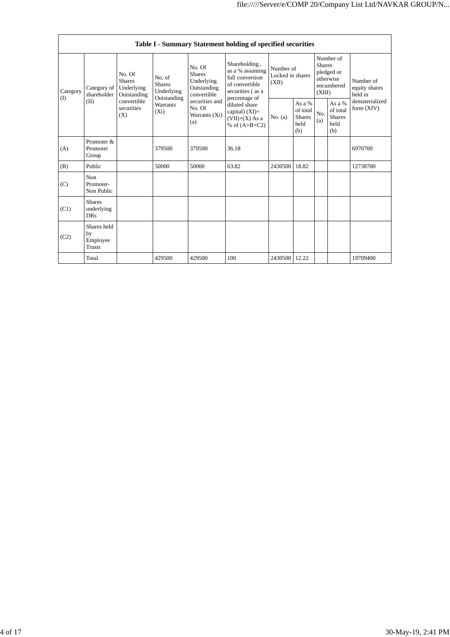|                         |                                                |                                                                                          |                                                                                    |                                                                     | Table I - Summary Statement holding of specified securities                                                                                                                             |                                        |                                                      |                                                                               |                                                    |                                       |
|-------------------------|------------------------------------------------|------------------------------------------------------------------------------------------|------------------------------------------------------------------------------------|---------------------------------------------------------------------|-----------------------------------------------------------------------------------------------------------------------------------------------------------------------------------------|----------------------------------------|------------------------------------------------------|-------------------------------------------------------------------------------|----------------------------------------------------|---------------------------------------|
| Category<br>(I)<br>(II) | Category of<br>shareholder                     | No. Of<br><b>Shares</b><br>Underlying<br>Outstanding<br>convertible<br>securities<br>(X) | No. of<br><b>Shares</b><br>Underlying<br>Outstanding<br><b>Warrants</b><br>$(X_i)$ | No. Of<br><b>Shares</b><br>Underlying<br>Outstanding<br>convertible | Shareholding,<br>as a % assuming<br>full conversion<br>of convertible<br>securities (as a<br>percentage of<br>diluted share<br>capital) $(XI)$ =<br>$(VII)+(X)$ As a<br>% of $(A+B+C2)$ | Number of<br>Locked in shares<br>(XII) |                                                      | Number of<br><b>Shares</b><br>pledged or<br>otherwise<br>encumbered<br>(XIII) |                                                    | Number of<br>equity shares<br>held in |
|                         |                                                |                                                                                          |                                                                                    | securities and<br>No. Of<br>Warrants (Xi)<br>(a)                    |                                                                                                                                                                                         | No. (a)                                | As a $%$<br>of total<br><b>Shares</b><br>held<br>(b) | No.<br>(a)                                                                    | As a %<br>of total<br><b>Shares</b><br>held<br>(b) | dematerialized<br>form $(XIV)$        |
| (A)                     | Promoter &<br>Promoter<br>Group                |                                                                                          | 379500                                                                             | 379500                                                              | 36.18                                                                                                                                                                                   |                                        |                                                      |                                                                               |                                                    | 6970700                               |
| (B)                     | Public                                         |                                                                                          | 50000                                                                              | 50000                                                               | 63.82                                                                                                                                                                                   | 2430500                                | 18.82                                                |                                                                               |                                                    | 12738700                              |
| (C)                     | Non<br>Promoter-<br>Non Public                 |                                                                                          |                                                                                    |                                                                     |                                                                                                                                                                                         |                                        |                                                      |                                                                               |                                                    |                                       |
| (C1)                    | <b>Shares</b><br>underlying<br><b>DRs</b>      |                                                                                          |                                                                                    |                                                                     |                                                                                                                                                                                         |                                        |                                                      |                                                                               |                                                    |                                       |
| (C2)                    | Shares held<br>by<br>Employee<br><b>Trusts</b> |                                                                                          |                                                                                    |                                                                     |                                                                                                                                                                                         |                                        |                                                      |                                                                               |                                                    |                                       |
|                         | Total                                          |                                                                                          | 429500                                                                             | 429500                                                              | 100                                                                                                                                                                                     | 2430500                                | 12.22                                                |                                                                               |                                                    | 19709400                              |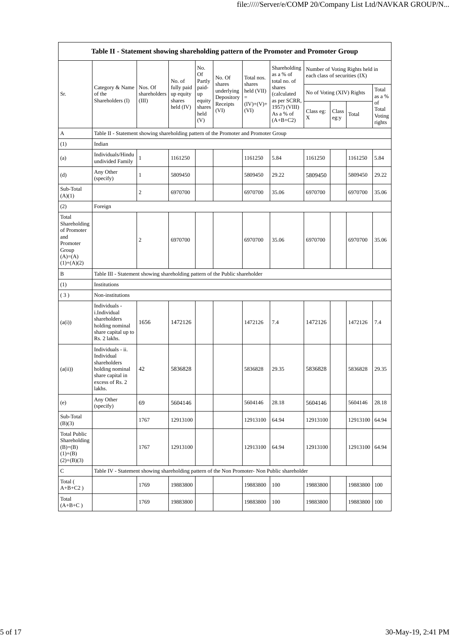|                                                                                               | Table II - Statement showing shareholding pattern of the Promoter and Promoter Group                                |                                  |                                   |                       |                          |                      |                                           |                               |               |                                 |                                 |
|-----------------------------------------------------------------------------------------------|---------------------------------------------------------------------------------------------------------------------|----------------------------------|-----------------------------------|-----------------------|--------------------------|----------------------|-------------------------------------------|-------------------------------|---------------|---------------------------------|---------------------------------|
|                                                                                               |                                                                                                                     |                                  | No. of                            | No.<br>Of<br>Partly   | No. Of<br>shares         | Total nos.<br>shares | Shareholding<br>as a % of<br>total no. of | each class of securities (IX) |               | Number of Voting Rights held in |                                 |
| Sr.                                                                                           | Category & Name<br>of the<br>Shareholders (I)                                                                       | Nos. Of<br>shareholders<br>(III) | fully paid<br>up equity<br>shares | paid-<br>up<br>equity | underlying<br>Depository | held (VII)<br>$=$    | shares<br>(calculated<br>as per SCRR,     | No of Voting (XIV) Rights     |               |                                 | Total<br>as a %                 |
|                                                                                               |                                                                                                                     |                                  | held $(IV)$                       | shares<br>held<br>(V) | Receipts<br>(VI)         | $(IV)+(V)+$<br>(VI)  | 1957) (VIII)<br>As a % of<br>$(A+B+C2)$   | Class eg:<br>X                | Class<br>eg:y | Total                           | of<br>Total<br>Voting<br>rights |
| A                                                                                             | Table II - Statement showing shareholding pattern of the Promoter and Promoter Group                                |                                  |                                   |                       |                          |                      |                                           |                               |               |                                 |                                 |
| (1)                                                                                           | Indian                                                                                                              |                                  |                                   |                       |                          |                      |                                           |                               |               |                                 |                                 |
| (a)                                                                                           | Individuals/Hindu<br>undivided Family                                                                               | $\mathbf{1}$                     | 1161250                           |                       |                          | 1161250              | 5.84                                      | 1161250                       |               | 1161250                         | 5.84                            |
| (d)                                                                                           | Any Other<br>(specify)                                                                                              | 1                                | 5809450                           |                       |                          | 5809450              | 29.22                                     | 5809450                       |               | 5809450                         | 29.22                           |
| Sub-Total<br>(A)(1)                                                                           |                                                                                                                     | 2                                | 6970700                           |                       |                          | 6970700              | 35.06                                     | 6970700                       |               | 6970700                         | 35.06                           |
| (2)                                                                                           | Foreign                                                                                                             |                                  |                                   |                       |                          |                      |                                           |                               |               |                                 |                                 |
| Total<br>Shareholding<br>of Promoter<br>and<br>Promoter<br>Group<br>$(A)=(A)$<br>$(1)+(A)(2)$ |                                                                                                                     | 2                                | 6970700                           |                       |                          | 6970700              | 35.06                                     | 6970700                       |               | 6970700                         | 35.06                           |
| B                                                                                             | Table III - Statement showing shareholding pattern of the Public shareholder                                        |                                  |                                   |                       |                          |                      |                                           |                               |               |                                 |                                 |
| (1)                                                                                           | Institutions                                                                                                        |                                  |                                   |                       |                          |                      |                                           |                               |               |                                 |                                 |
| (3)                                                                                           | Non-institutions                                                                                                    |                                  |                                   |                       |                          |                      |                                           |                               |               |                                 |                                 |
| (a(i))                                                                                        | Individuals -<br>i.Individual<br>shareholders<br>holding nominal<br>share capital up to<br>Rs. 2 lakhs.             | 1656                             | 1472126                           |                       |                          | 1472126              | 7.4                                       | 1472126                       |               | 1472126                         | 7.4                             |
| (a(ii))                                                                                       | Individuals - ii.<br>Individual<br>shareholders<br>holding nominal<br>share capital in<br>excess of Rs. 2<br>lakhs. | 42                               | 5836828                           |                       |                          | 5836828              | 29.35                                     | 5836828                       |               | 5836828                         | 29.35                           |
| (e)                                                                                           | Any Other<br>(specify)                                                                                              | 69                               | 5604146                           |                       |                          | 5604146              | 28.18                                     | 5604146                       |               | 5604146                         | 28.18                           |
| Sub-Total<br>(B)(3)                                                                           |                                                                                                                     | 1767                             | 12913100                          |                       |                          | 12913100             | 64.94                                     | 12913100                      |               | 12913100                        | 64.94                           |
| <b>Total Public</b><br>Shareholding<br>$(B)= (B)$<br>$(1)+(B)$<br>$(2)+(B)(3)$                |                                                                                                                     | 1767                             | 12913100                          |                       |                          | 12913100             | 64.94                                     | 12913100                      |               | 12913100                        | 64.94                           |
| $\mathbf C$                                                                                   | Table IV - Statement showing shareholding pattern of the Non Promoter- Non Public shareholder                       |                                  |                                   |                       |                          |                      |                                           |                               |               |                                 |                                 |
| Total (<br>$A+B+C2$ )                                                                         |                                                                                                                     | 1769                             | 19883800                          |                       |                          | 19883800             | 100                                       | 19883800                      |               | 19883800                        | 100                             |
| Total<br>$(A+B+C)$                                                                            |                                                                                                                     | 1769                             | 19883800                          |                       |                          | 19883800             | 100                                       | 19883800                      |               | 19883800                        | 100                             |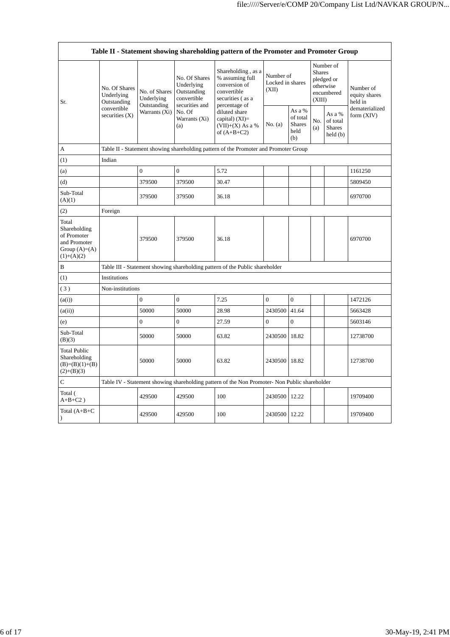| Table II - Statement showing shareholding pattern of the Promoter and Promoter Group    |                                                                               |                                                             |                                                                                                               |                                                                                                                                                                                         |                                        |                                                    |                                                                               |                                                |                                       |
|-----------------------------------------------------------------------------------------|-------------------------------------------------------------------------------|-------------------------------------------------------------|---------------------------------------------------------------------------------------------------------------|-----------------------------------------------------------------------------------------------------------------------------------------------------------------------------------------|----------------------------------------|----------------------------------------------------|-------------------------------------------------------------------------------|------------------------------------------------|---------------------------------------|
| Sr.                                                                                     | No. Of Shares<br>Underlying<br>Outstanding<br>convertible<br>securities $(X)$ | No. of Shares<br>Underlying<br>Outstanding<br>Warrants (Xi) | No. Of Shares<br>Underlying<br>Outstanding<br>convertible<br>securities and<br>No. Of<br>Warrants (Xi)<br>(a) | Shareholding, as a<br>% assuming full<br>conversion of<br>convertible<br>securities (as a<br>percentage of<br>diluted share<br>capital) $(XI)$ =<br>$(VII)+(X)$ As a %<br>of $(A+B+C2)$ | Number of<br>Locked in shares<br>(XII) |                                                    | Number of<br><b>Shares</b><br>pledged or<br>otherwise<br>encumbered<br>(XIII) |                                                | Number of<br>equity shares<br>held in |
|                                                                                         |                                                                               |                                                             |                                                                                                               |                                                                                                                                                                                         | No. (a)                                | As a %<br>of total<br><b>Shares</b><br>held<br>(b) | No.<br>(a)                                                                    | As a %<br>of total<br><b>Shares</b><br>held(b) | dematerialized<br>form (XIV)          |
| A                                                                                       |                                                                               |                                                             |                                                                                                               | Table II - Statement showing shareholding pattern of the Promoter and Promoter Group                                                                                                    |                                        |                                                    |                                                                               |                                                |                                       |
| (1)                                                                                     | Indian                                                                        |                                                             |                                                                                                               |                                                                                                                                                                                         |                                        |                                                    |                                                                               |                                                |                                       |
| (a)                                                                                     |                                                                               | $\overline{0}$                                              | $\overline{0}$                                                                                                | 5.72                                                                                                                                                                                    |                                        |                                                    |                                                                               |                                                | 1161250                               |
| (d)                                                                                     |                                                                               | 379500                                                      | 379500                                                                                                        | 30.47                                                                                                                                                                                   |                                        |                                                    |                                                                               |                                                | 5809450                               |
| Sub-Total<br>(A)(1)                                                                     |                                                                               | 379500                                                      | 379500                                                                                                        | 36.18                                                                                                                                                                                   |                                        |                                                    |                                                                               |                                                | 6970700                               |
| (2)                                                                                     | Foreign                                                                       |                                                             |                                                                                                               |                                                                                                                                                                                         |                                        |                                                    |                                                                               |                                                |                                       |
| Total<br>Shareholding<br>of Promoter<br>and Promoter<br>Group $(A)=(A)$<br>$(1)+(A)(2)$ |                                                                               | 379500                                                      | 379500                                                                                                        | 36.18                                                                                                                                                                                   |                                        |                                                    |                                                                               |                                                | 6970700                               |
| B                                                                                       |                                                                               |                                                             |                                                                                                               | Table III - Statement showing shareholding pattern of the Public shareholder                                                                                                            |                                        |                                                    |                                                                               |                                                |                                       |
| (1)                                                                                     | Institutions                                                                  |                                                             |                                                                                                               |                                                                                                                                                                                         |                                        |                                                    |                                                                               |                                                |                                       |
| (3)                                                                                     | Non-institutions                                                              |                                                             |                                                                                                               |                                                                                                                                                                                         |                                        |                                                    |                                                                               |                                                |                                       |
| (a(i))                                                                                  |                                                                               | $\boldsymbol{0}$                                            | $\boldsymbol{0}$                                                                                              | 7.25                                                                                                                                                                                    | $\mathbf{0}$                           | $\boldsymbol{0}$                                   |                                                                               |                                                | 1472126                               |
| (a(ii))                                                                                 |                                                                               | 50000                                                       | 50000                                                                                                         | 28.98                                                                                                                                                                                   | 2430500                                | 41.64                                              |                                                                               |                                                | 5663428                               |
| (e)                                                                                     |                                                                               | $\overline{0}$                                              | $\theta$                                                                                                      | 27.59                                                                                                                                                                                   | $\Omega$                               | $\theta$                                           |                                                                               |                                                | 5603146                               |
| Sub-Total<br>(B)(3)                                                                     |                                                                               | 50000                                                       | 50000                                                                                                         | 63.82                                                                                                                                                                                   | 2430500 18.82                          |                                                    |                                                                               |                                                | 12738700                              |
| <b>Total Public</b><br>Shareholding<br>$(B)=(B)(1)+(B)$<br>$(2)+(B)(3)$                 |                                                                               | 50000                                                       | 50000                                                                                                         | 63.82                                                                                                                                                                                   | 2430500 18.82                          |                                                    |                                                                               |                                                | 12738700                              |
| $\mathsf{C}$                                                                            |                                                                               |                                                             |                                                                                                               | Table IV - Statement showing shareholding pattern of the Non Promoter- Non Public shareholder                                                                                           |                                        |                                                    |                                                                               |                                                |                                       |
| Total (<br>$A+B+C2$ )                                                                   |                                                                               | 429500                                                      | 429500                                                                                                        | 100                                                                                                                                                                                     | 2430500 12.22                          |                                                    |                                                                               |                                                | 19709400                              |
| Total $(A+B+C)$<br>$\mathcal{E}$                                                        |                                                                               | 429500                                                      | 429500                                                                                                        | 100                                                                                                                                                                                     | 2430500 12.22                          |                                                    |                                                                               |                                                | 19709400                              |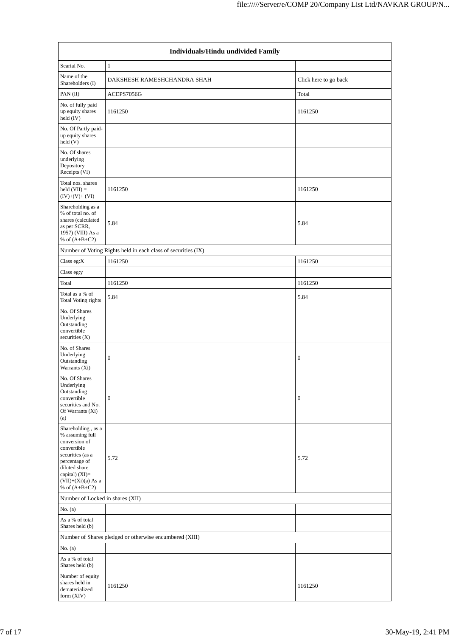| Individuals/Hindu undivided Family                                                                                                                                                         |                                                               |                       |  |  |  |  |  |  |
|--------------------------------------------------------------------------------------------------------------------------------------------------------------------------------------------|---------------------------------------------------------------|-----------------------|--|--|--|--|--|--|
| Searial No.                                                                                                                                                                                | 1                                                             |                       |  |  |  |  |  |  |
| Name of the<br>Shareholders (I)                                                                                                                                                            | DAKSHESH RAMESHCHANDRA SHAH                                   | Click here to go back |  |  |  |  |  |  |
| PAN (II)                                                                                                                                                                                   | ACEPS7056G                                                    | Total                 |  |  |  |  |  |  |
| No. of fully paid<br>up equity shares<br>held (IV)                                                                                                                                         | 1161250                                                       | 1161250               |  |  |  |  |  |  |
| No. Of Partly paid-<br>up equity shares<br>held (V)                                                                                                                                        |                                                               |                       |  |  |  |  |  |  |
| No. Of shares<br>underlying<br>Depository<br>Receipts (VI)                                                                                                                                 |                                                               |                       |  |  |  |  |  |  |
| Total nos. shares<br>held $(VII) =$<br>$(IV)+(V)+(VI)$                                                                                                                                     | 1161250                                                       | 1161250               |  |  |  |  |  |  |
| Shareholding as a<br>% of total no. of<br>shares (calculated<br>as per SCRR,<br>1957) (VIII) As a<br>% of $(A+B+C2)$                                                                       | 5.84                                                          | 5.84                  |  |  |  |  |  |  |
|                                                                                                                                                                                            | Number of Voting Rights held in each class of securities (IX) |                       |  |  |  |  |  |  |
| Class eg:X                                                                                                                                                                                 | 1161250                                                       | 1161250               |  |  |  |  |  |  |
| Class eg:y                                                                                                                                                                                 |                                                               |                       |  |  |  |  |  |  |
| Total                                                                                                                                                                                      | 1161250                                                       | 1161250               |  |  |  |  |  |  |
| Total as a % of<br>Total Voting rights                                                                                                                                                     | 5.84                                                          | 5.84                  |  |  |  |  |  |  |
| No. Of Shares<br>Underlying<br>Outstanding<br>convertible<br>securities $(X)$                                                                                                              |                                                               |                       |  |  |  |  |  |  |
| No. of Shares<br>Underlying<br>Outstanding<br>Warrants (Xi)                                                                                                                                | $\mathbf{0}$                                                  | $\boldsymbol{0}$      |  |  |  |  |  |  |
| No. Of Shares<br>Underlying<br>Outstanding<br>convertible<br>securities and No.<br>Of Warrants (Xi)<br>(a)                                                                                 | $\boldsymbol{0}$                                              | $\boldsymbol{0}$      |  |  |  |  |  |  |
| Shareholding, as a<br>% assuming full<br>conversion of<br>convertible<br>securities (as a<br>percentage of<br>diluted share<br>capital) $(XI)=$<br>$(VII)+(Xi)(a)$ As a<br>% of $(A+B+C2)$ | 5.72                                                          | 5.72                  |  |  |  |  |  |  |
| Number of Locked in shares (XII)                                                                                                                                                           |                                                               |                       |  |  |  |  |  |  |
| No. $(a)$                                                                                                                                                                                  |                                                               |                       |  |  |  |  |  |  |
| As a % of total<br>Shares held (b)                                                                                                                                                         |                                                               |                       |  |  |  |  |  |  |
|                                                                                                                                                                                            | Number of Shares pledged or otherwise encumbered (XIII)       |                       |  |  |  |  |  |  |
| No. $(a)$<br>As a % of total<br>Shares held (b)                                                                                                                                            |                                                               |                       |  |  |  |  |  |  |
| Number of equity<br>shares held in<br>dematerialized<br>form (XIV)                                                                                                                         | 1161250                                                       | 1161250               |  |  |  |  |  |  |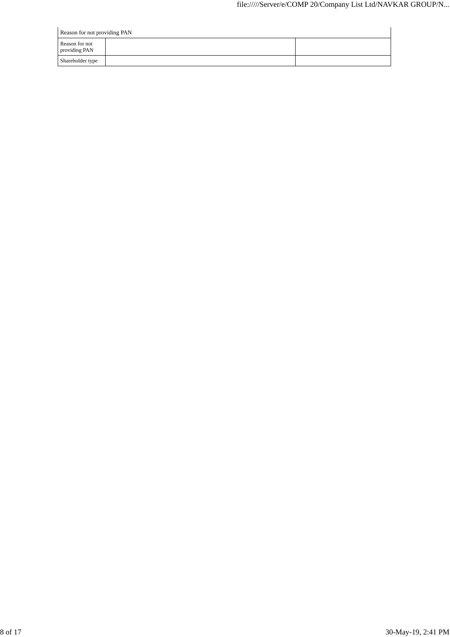| Reason for not providing PAN    |  |  |  |  |  |  |
|---------------------------------|--|--|--|--|--|--|
| Reason for not<br>providing PAN |  |  |  |  |  |  |
| Shareholder type                |  |  |  |  |  |  |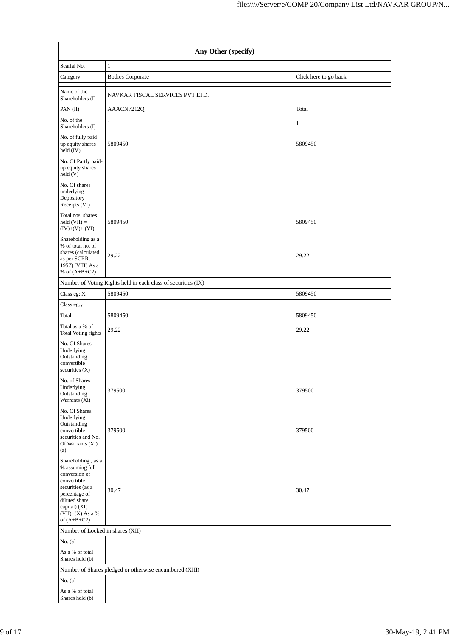| Any Other (specify)                                                                                                                                                                |                                                               |                       |  |  |  |  |  |  |  |
|------------------------------------------------------------------------------------------------------------------------------------------------------------------------------------|---------------------------------------------------------------|-----------------------|--|--|--|--|--|--|--|
| Searial No.                                                                                                                                                                        | $\mathbf{1}$                                                  |                       |  |  |  |  |  |  |  |
| Category                                                                                                                                                                           | <b>Bodies Corporate</b>                                       | Click here to go back |  |  |  |  |  |  |  |
| Name of the<br>Shareholders (I)                                                                                                                                                    | NAVKAR FISCAL SERVICES PVT LTD.                               |                       |  |  |  |  |  |  |  |
| PAN (II)                                                                                                                                                                           | AAACN7212Q                                                    | Total                 |  |  |  |  |  |  |  |
| No. of the<br>Shareholders (I)                                                                                                                                                     | 1                                                             | 1                     |  |  |  |  |  |  |  |
| No. of fully paid<br>up equity shares<br>held (IV)                                                                                                                                 | 5809450                                                       | 5809450               |  |  |  |  |  |  |  |
| No. Of Partly paid-<br>up equity shares<br>held (V)                                                                                                                                |                                                               |                       |  |  |  |  |  |  |  |
| No. Of shares<br>underlying<br>Depository<br>Receipts (VI)                                                                                                                         |                                                               |                       |  |  |  |  |  |  |  |
| Total nos. shares<br>held $(VII) =$<br>$(IV)+(V)+(VI)$                                                                                                                             | 5809450                                                       | 5809450               |  |  |  |  |  |  |  |
| Shareholding as a<br>% of total no. of<br>shares (calculated<br>as per SCRR,<br>1957) (VIII) As a<br>% of $(A+B+C2)$                                                               | 29.22                                                         | 29.22                 |  |  |  |  |  |  |  |
|                                                                                                                                                                                    | Number of Voting Rights held in each class of securities (IX) |                       |  |  |  |  |  |  |  |
| Class eg: X                                                                                                                                                                        | 5809450                                                       | 5809450               |  |  |  |  |  |  |  |
| Class eg:y                                                                                                                                                                         |                                                               |                       |  |  |  |  |  |  |  |
| Total                                                                                                                                                                              | 5809450                                                       | 5809450               |  |  |  |  |  |  |  |
| Total as a % of<br>Total Voting rights                                                                                                                                             | 29.22                                                         | 29.22                 |  |  |  |  |  |  |  |
| No. Of Shares<br>Underlying<br>Outstanding<br>convertible<br>securities $(X)$                                                                                                      |                                                               |                       |  |  |  |  |  |  |  |
| No. of Shares<br>Underlying<br>Outstanding<br>Warrants (Xi)                                                                                                                        | 379500                                                        | 379500                |  |  |  |  |  |  |  |
| No. Of Shares<br>Underlying<br>Outstanding<br>convertible<br>securities and No.<br>Of Warrants (Xi)<br>(a)                                                                         | 379500                                                        | 379500                |  |  |  |  |  |  |  |
| Shareholding, as a<br>% assuming full<br>conversion of<br>convertible<br>securities (as a<br>percentage of<br>diluted share<br>capital) (XI)=<br>(VII)+(X) As a %<br>of $(A+B+C2)$ | 30.47                                                         | 30.47                 |  |  |  |  |  |  |  |
| Number of Locked in shares (XII)                                                                                                                                                   |                                                               |                       |  |  |  |  |  |  |  |
| No. (a)                                                                                                                                                                            |                                                               |                       |  |  |  |  |  |  |  |
| As a % of total<br>Shares held (b)                                                                                                                                                 |                                                               |                       |  |  |  |  |  |  |  |
|                                                                                                                                                                                    | Number of Shares pledged or otherwise encumbered (XIII)       |                       |  |  |  |  |  |  |  |
| No. $(a)$                                                                                                                                                                          |                                                               |                       |  |  |  |  |  |  |  |
| As a % of total<br>Shares held (b)                                                                                                                                                 |                                                               |                       |  |  |  |  |  |  |  |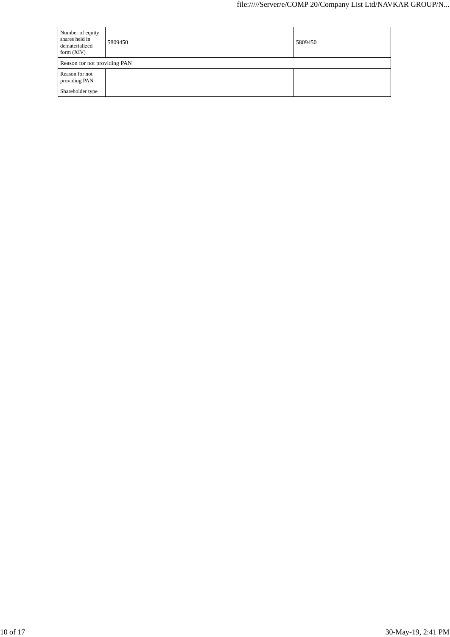| Number of equity<br>shares held in<br>dematerialized<br>form $(XIV)$ | 5809450 | 5809450 |
|----------------------------------------------------------------------|---------|---------|
| Reason for not providing PAN                                         |         |         |
| Reason for not<br>providing PAN                                      |         |         |
| Shareholder type                                                     |         |         |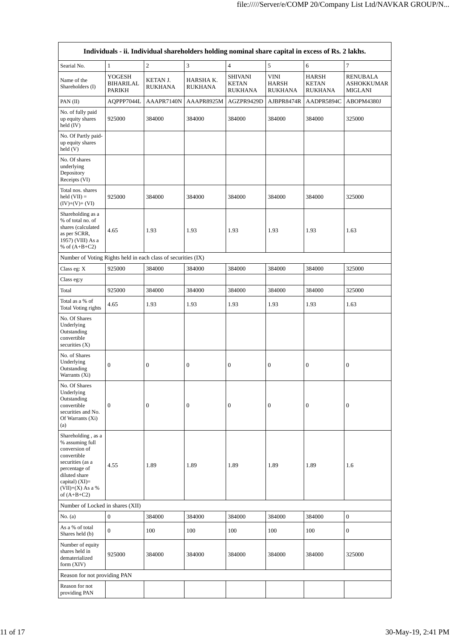|                                                                                                                                                                                        |                                      |                            | Individuals - ii. Individual shareholders holding nominal share capital in excess of Rs. 2 lakhs. |                                                  |                                               |                                         |                                          |
|----------------------------------------------------------------------------------------------------------------------------------------------------------------------------------------|--------------------------------------|----------------------------|---------------------------------------------------------------------------------------------------|--------------------------------------------------|-----------------------------------------------|-----------------------------------------|------------------------------------------|
| Searial No.                                                                                                                                                                            | $\mathbf{1}$                         | $\overline{c}$             | 3                                                                                                 | $\overline{4}$                                   | 5                                             | 6                                       | $\tau$                                   |
| Name of the<br>Shareholders (I)                                                                                                                                                        | YOGESH<br><b>BIHARILAL</b><br>PARIKH | KETAN J.<br><b>RUKHANA</b> | HARSHA K.<br>RUKHANA                                                                              | <b>SHIVANI</b><br><b>KETAN</b><br><b>RUKHANA</b> | <b>VINI</b><br><b>HARSH</b><br><b>RUKHANA</b> | HARSH<br><b>KETAN</b><br><b>RUKHANA</b> | RENUBALA<br>ASHOKKUMAR<br><b>MIGLANI</b> |
| PAN (II)                                                                                                                                                                               | AQPPP7044L                           | AAAPR7140N                 | AAAPR8925M                                                                                        | AGZPR9429D                                       | AJBPR8474R                                    | AADPR5894C                              | ABOPM4380J                               |
| No. of fully paid<br>up equity shares<br>held $(IV)$                                                                                                                                   | 925000                               | 384000                     | 384000                                                                                            | 384000                                           | 384000                                        | 384000                                  | 325000                                   |
| No. Of Partly paid-<br>up equity shares<br>held(V)                                                                                                                                     |                                      |                            |                                                                                                   |                                                  |                                               |                                         |                                          |
| No. Of shares<br>underlying<br>Depository<br>Receipts (VI)                                                                                                                             |                                      |                            |                                                                                                   |                                                  |                                               |                                         |                                          |
| Total nos. shares<br>held $(VII) =$<br>$(IV)+(V)+(VI)$                                                                                                                                 | 925000                               | 384000                     | 384000                                                                                            | 384000                                           | 384000                                        | 384000                                  | 325000                                   |
| Shareholding as a<br>% of total no. of<br>shares (calculated<br>as per SCRR,<br>1957) (VIII) As a<br>% of $(A+B+C2)$                                                                   | 4.65                                 | 1.93                       | 1.93                                                                                              | 1.93                                             | 1.93                                          | 1.93                                    | 1.63                                     |
| Number of Voting Rights held in each class of securities (IX)                                                                                                                          |                                      |                            |                                                                                                   |                                                  |                                               |                                         |                                          |
| Class eg: X                                                                                                                                                                            | 925000                               | 384000                     | 384000                                                                                            | 384000                                           | 384000                                        | 384000                                  | 325000                                   |
| Class eg:y                                                                                                                                                                             |                                      |                            |                                                                                                   |                                                  |                                               |                                         |                                          |
| Total                                                                                                                                                                                  | 925000                               | 384000                     | 384000                                                                                            | 384000                                           | 384000                                        | 384000                                  | 325000                                   |
| Total as a % of<br>Total Voting rights                                                                                                                                                 | 4.65                                 | 1.93                       | 1.93                                                                                              | 1.93                                             | 1.93                                          | 1.93                                    | 1.63                                     |
| No. Of Shares<br>Underlying<br>Outstanding<br>convertible<br>securities $(X)$<br>No. of Shares                                                                                         |                                      |                            |                                                                                                   |                                                  |                                               |                                         |                                          |
| Underlying<br>Outstanding<br>Warrants (Xi)                                                                                                                                             | $\boldsymbol{0}$                     | $\boldsymbol{0}$           | 0                                                                                                 | $\boldsymbol{0}$                                 | $\boldsymbol{0}$                              | $\boldsymbol{0}$                        | $\boldsymbol{0}$                         |
| No. Of Shares<br>Underlying<br>Outstanding<br>convertible<br>securities and No.<br>Of Warrants (Xi)<br>(a)                                                                             | $\boldsymbol{0}$                     | $\boldsymbol{0}$           | $\boldsymbol{0}$                                                                                  | $\boldsymbol{0}$                                 | $\mathbf{0}$                                  | $\mathbf{0}$                            | $\boldsymbol{0}$                         |
| Shareholding, as a<br>% assuming full<br>conversion of<br>convertible<br>securities (as a<br>percentage of<br>diluted share<br>capital) $(XI)=$<br>$(VII)+(X)$ As a %<br>of $(A+B+C2)$ | 4.55                                 | 1.89                       | 1.89                                                                                              | 1.89                                             | 1.89                                          | 1.89                                    | 1.6                                      |
| Number of Locked in shares (XII)                                                                                                                                                       |                                      |                            |                                                                                                   |                                                  |                                               |                                         |                                          |
| No. $(a)$                                                                                                                                                                              | $\boldsymbol{0}$                     | 384000                     | 384000                                                                                            | 384000                                           | 384000                                        | 384000                                  | $\boldsymbol{0}$                         |
| As a % of total<br>Shares held (b)                                                                                                                                                     | $\boldsymbol{0}$                     | 100                        | 100                                                                                               | 100                                              | 100                                           | 100                                     | 0                                        |
| Number of equity<br>shares held in<br>dematerialized<br>form (XIV)                                                                                                                     | 925000                               | 384000                     | 384000                                                                                            | 384000                                           | 384000                                        | 384000                                  | 325000                                   |
| Reason for not providing PAN                                                                                                                                                           |                                      |                            |                                                                                                   |                                                  |                                               |                                         |                                          |
| Reason for not<br>providing PAN                                                                                                                                                        |                                      |                            |                                                                                                   |                                                  |                                               |                                         |                                          |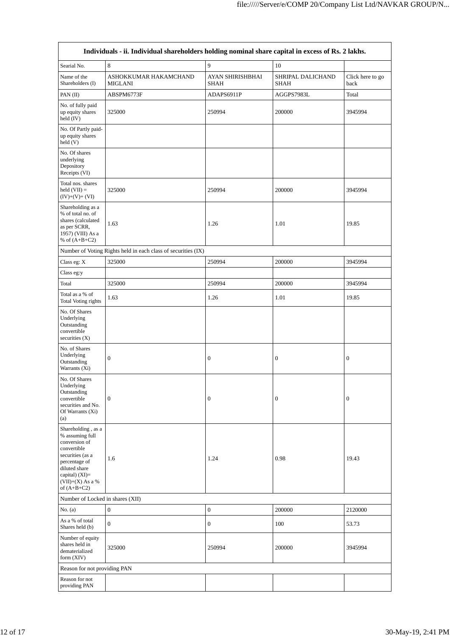|                                                                                                                                                                                      | Individuals - ii. Individual shareholders holding nominal share capital in excess of Rs. 2 lakhs. |                                 |                                  |                          |
|--------------------------------------------------------------------------------------------------------------------------------------------------------------------------------------|---------------------------------------------------------------------------------------------------|---------------------------------|----------------------------------|--------------------------|
| Searial No.                                                                                                                                                                          | $\,$ 8 $\,$                                                                                       | 9                               | 10                               |                          |
| Name of the<br>Shareholders (I)                                                                                                                                                      | ASHOKKUMAR HAKAMCHAND<br><b>MIGLANI</b>                                                           | AYAN SHIRISHBHAI<br><b>SHAH</b> | SHRIPAL DALICHAND<br><b>SHAH</b> | Click here to go<br>back |
| PAN (II)                                                                                                                                                                             | ABSPM6773F                                                                                        | ADAPS6911P                      | AGGPS7983L                       | Total                    |
| No. of fully paid<br>up equity shares<br>held $(IV)$                                                                                                                                 | 325000                                                                                            | 250994                          | 200000                           | 3945994                  |
| No. Of Partly paid-<br>up equity shares<br>held (V)                                                                                                                                  |                                                                                                   |                                 |                                  |                          |
| No. Of shares<br>underlying<br>Depository<br>Receipts (VI)                                                                                                                           |                                                                                                   |                                 |                                  |                          |
| Total nos. shares<br>$held (VII) =$<br>$(IV)+(V)+(VI)$                                                                                                                               | 325000                                                                                            | 250994                          | 200000                           | 3945994                  |
| Shareholding as a<br>% of total no. of<br>shares (calculated<br>as per SCRR,<br>1957) (VIII) As a<br>% of $(A+B+C2)$                                                                 | 1.63                                                                                              | 1.26                            | 1.01                             | 19.85                    |
|                                                                                                                                                                                      | Number of Voting Rights held in each class of securities (IX)                                     |                                 |                                  |                          |
| Class eg: X                                                                                                                                                                          | 325000                                                                                            | 250994                          | 200000                           | 3945994                  |
| Class eg:y                                                                                                                                                                           |                                                                                                   |                                 |                                  |                          |
| Total                                                                                                                                                                                | 325000                                                                                            | 250994                          | 200000                           | 3945994                  |
| Total as a % of<br>Total Voting rights                                                                                                                                               | 1.63                                                                                              | 1.26                            | 1.01                             | 19.85                    |
| No. Of Shares<br>Underlying<br>Outstanding<br>convertible<br>securities $(X)$                                                                                                        |                                                                                                   |                                 |                                  |                          |
| No. of Shares<br>Underlying<br>Outstanding<br>Warrants (Xi)                                                                                                                          | $\boldsymbol{0}$                                                                                  | $\boldsymbol{0}$                | 0                                | $\boldsymbol{0}$         |
| No. Of Shares<br>Underlying<br>Outstanding<br>convertible<br>securities and No.<br>Of Warrants (Xi)<br>(a)                                                                           | $\boldsymbol{0}$                                                                                  | $\boldsymbol{0}$                | $\boldsymbol{0}$                 | $\boldsymbol{0}$         |
| Shareholding, as a<br>% assuming full<br>conversion of<br>convertible<br>securities (as a<br>percentage of<br>diluted share<br>capital) (XI)=<br>$(VII)+(X)$ As a %<br>of $(A+B+C2)$ | 1.6                                                                                               | 1.24                            | 0.98                             | 19.43                    |
| Number of Locked in shares (XII)                                                                                                                                                     |                                                                                                   |                                 |                                  |                          |
| No. (a)                                                                                                                                                                              | $\boldsymbol{0}$                                                                                  | $\boldsymbol{0}$                | 200000                           | 2120000                  |
| As a % of total<br>Shares held (b)                                                                                                                                                   | $\mathbf{0}$                                                                                      | $\boldsymbol{0}$                | 100                              | 53.73                    |
| Number of equity<br>shares held in<br>dematerialized<br>form (XIV)                                                                                                                   | 325000                                                                                            | 250994                          | 200000                           | 3945994                  |
| Reason for not providing PAN                                                                                                                                                         |                                                                                                   |                                 |                                  |                          |
| Reason for not<br>providing PAN                                                                                                                                                      |                                                                                                   |                                 |                                  |                          |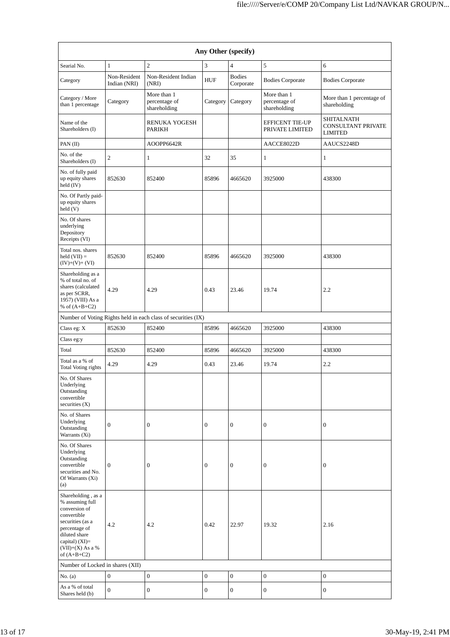| Any Other (specify)                                                                                                                                                                  |                              |                                                               |                  |                            |                                              |                                                           |  |  |
|--------------------------------------------------------------------------------------------------------------------------------------------------------------------------------------|------------------------------|---------------------------------------------------------------|------------------|----------------------------|----------------------------------------------|-----------------------------------------------------------|--|--|
| $\overline{c}$<br>Searial No.<br>$\mathbf{1}$<br>3                                                                                                                                   |                              |                                                               |                  | $\overline{4}$             | 5                                            | 6                                                         |  |  |
| Category                                                                                                                                                                             | Non-Resident<br>Indian (NRI) | Non-Resident Indian<br>(NRI)                                  | <b>HUF</b>       | <b>Bodies</b><br>Corporate | <b>Bodies Corporate</b>                      | <b>Bodies Corporate</b>                                   |  |  |
| Category / More<br>than 1 percentage                                                                                                                                                 | Category                     | More than 1<br>percentage of<br>shareholding                  | Category         | Category                   | More than 1<br>percentage of<br>shareholding | More than 1 percentage of<br>shareholding                 |  |  |
| Name of the<br>Shareholders (I)                                                                                                                                                      |                              | <b>RENUKA YOGESH</b><br><b>PARIKH</b>                         |                  |                            | <b>EFFICENT TIE-UP</b><br>PRIVATE LIMITED    | SHITALNATH<br><b>CONSULTANT PRIVATE</b><br><b>LIMITED</b> |  |  |
| PAN (II)                                                                                                                                                                             |                              | AOOPP6642R                                                    |                  |                            | AACCE8022D                                   | AAUCS2248D                                                |  |  |
| No. of the<br>Shareholders (I)                                                                                                                                                       | $\overline{c}$               | $\mathbf{1}$                                                  | 32               | 35                         | $\mathbf{1}$                                 | $\mathbf{1}$                                              |  |  |
| No. of fully paid<br>up equity shares<br>held (IV)                                                                                                                                   | 852630                       | 852400                                                        | 85896            | 4665620                    | 3925000                                      | 438300                                                    |  |  |
| No. Of Partly paid-<br>up equity shares<br>held (V)                                                                                                                                  |                              |                                                               |                  |                            |                                              |                                                           |  |  |
| No. Of shares<br>underlying<br>Depository<br>Receipts (VI)                                                                                                                           |                              |                                                               |                  |                            |                                              |                                                           |  |  |
| Total nos. shares<br>held $(VII) =$<br>$(IV)+(V)+(VI)$                                                                                                                               | 852630                       | 852400                                                        | 85896            | 4665620                    | 3925000                                      | 438300                                                    |  |  |
| Shareholding as a<br>% of total no. of<br>shares (calculated<br>as per SCRR,<br>1957) (VIII) As a<br>% of $(A+B+C2)$                                                                 | 4.29                         | 4.29                                                          | 0.43             | 23.46                      | 19.74                                        | 2.2                                                       |  |  |
|                                                                                                                                                                                      |                              | Number of Voting Rights held in each class of securities (IX) |                  |                            |                                              |                                                           |  |  |
| Class eg: X                                                                                                                                                                          | 852630                       | 852400                                                        | 85896            | 4665620                    | 3925000                                      | 438300                                                    |  |  |
| Class eg:y                                                                                                                                                                           |                              |                                                               |                  |                            |                                              |                                                           |  |  |
| Total                                                                                                                                                                                | 852630                       | 852400                                                        | 85896            | 4665620                    | 3925000                                      | 438300                                                    |  |  |
| Total as a % of<br>Total Voting rights                                                                                                                                               | 4.29                         | 4.29                                                          | 0.43             | 23.46                      | 19.74                                        | 2.2                                                       |  |  |
| No. Of Shares<br>Underlying<br>Outstanding<br>convertible<br>securities $(X)$                                                                                                        |                              |                                                               |                  |                            |                                              |                                                           |  |  |
| No. of Shares<br>Underlying<br>Outstanding<br>Warrants (Xi)                                                                                                                          | $\mathbf{0}$                 | $\mathbf{0}$                                                  | $\boldsymbol{0}$ | $\boldsymbol{0}$           | $\boldsymbol{0}$                             | $\mathbf{0}$                                              |  |  |
| No. Of Shares<br>Underlying<br>Outstanding<br>convertible<br>securities and No.<br>Of Warrants (Xi)<br>(a)                                                                           | $\mathbf{0}$                 | $\mathbf{0}$                                                  | $\boldsymbol{0}$ | $\boldsymbol{0}$           | $\overline{0}$                               | $\mathbf{0}$                                              |  |  |
| Shareholding, as a<br>% assuming full<br>conversion of<br>convertible<br>securities (as a<br>percentage of<br>diluted share<br>capital) (XI)=<br>$(VII)+(X)$ As a %<br>of $(A+B+C2)$ | 4.2                          | 4.2                                                           | 0.42             | 22.97                      | 19.32                                        | 2.16                                                      |  |  |
| Number of Locked in shares (XII)                                                                                                                                                     |                              |                                                               |                  |                            |                                              |                                                           |  |  |
| No. $(a)$                                                                                                                                                                            | $\mathbf{0}$                 | $\boldsymbol{0}$                                              | $\boldsymbol{0}$ | $\boldsymbol{0}$           | $\mathbf{0}$                                 | $\mathbf{0}$                                              |  |  |
| As a % of total<br>Shares held (b)                                                                                                                                                   | $\boldsymbol{0}$             | $\boldsymbol{0}$                                              | $\boldsymbol{0}$ | 0                          | $\boldsymbol{0}$                             | $\boldsymbol{0}$                                          |  |  |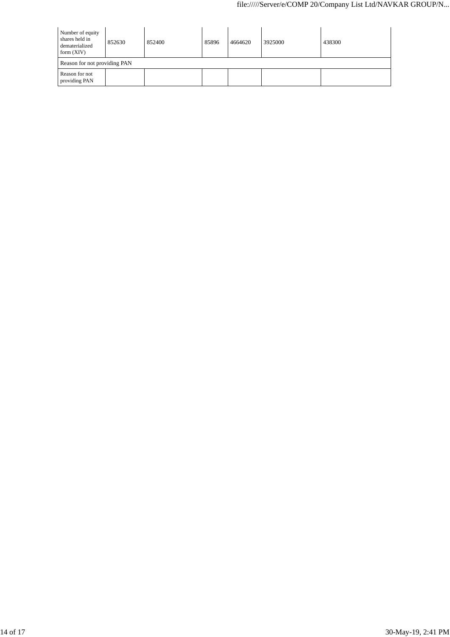| Number of equity<br>shares held in<br>dematerialized<br>form $(XIV)$ | 852630 | 852400 | 85896 | 4664620 | 3925000 | 438300 |  |
|----------------------------------------------------------------------|--------|--------|-------|---------|---------|--------|--|
| Reason for not providing PAN                                         |        |        |       |         |         |        |  |
| Reason for not<br>providing PAN                                      |        |        |       |         |         |        |  |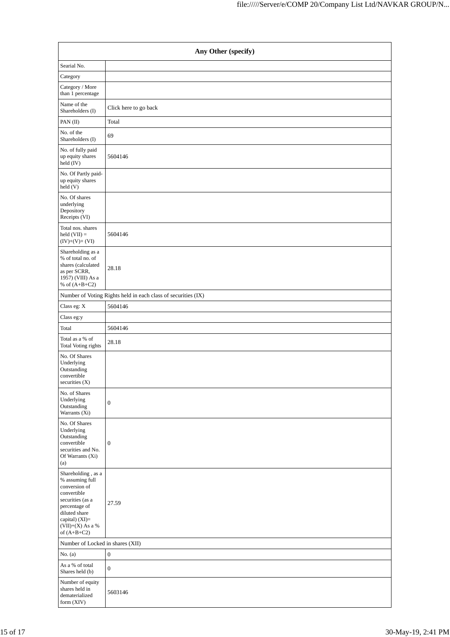| Any Other (specify)                                                                                                                                                                |                                                               |  |  |  |  |  |  |
|------------------------------------------------------------------------------------------------------------------------------------------------------------------------------------|---------------------------------------------------------------|--|--|--|--|--|--|
| Searial No.                                                                                                                                                                        |                                                               |  |  |  |  |  |  |
| Category                                                                                                                                                                           |                                                               |  |  |  |  |  |  |
| Category / More<br>than 1 percentage                                                                                                                                               |                                                               |  |  |  |  |  |  |
| Name of the<br>Shareholders (I)                                                                                                                                                    | Click here to go back                                         |  |  |  |  |  |  |
| PAN (II)                                                                                                                                                                           | Total                                                         |  |  |  |  |  |  |
| No. of the<br>Shareholders (I)                                                                                                                                                     | 69                                                            |  |  |  |  |  |  |
| No. of fully paid<br>up equity shares<br>held (IV)                                                                                                                                 | 5604146                                                       |  |  |  |  |  |  |
| No. Of Partly paid-<br>up equity shares<br>held (V)                                                                                                                                |                                                               |  |  |  |  |  |  |
| No. Of shares<br>underlying<br>Depository<br>Receipts (VI)                                                                                                                         |                                                               |  |  |  |  |  |  |
| Total nos. shares<br>held $(VII) =$<br>$(IV)+(V)+(VI)$                                                                                                                             | 5604146                                                       |  |  |  |  |  |  |
| Shareholding as a<br>% of total no. of<br>shares (calculated<br>as per SCRR,<br>1957) (VIII) As a<br>% of $(A+B+C2)$                                                               | 28.18                                                         |  |  |  |  |  |  |
|                                                                                                                                                                                    | Number of Voting Rights held in each class of securities (IX) |  |  |  |  |  |  |
| Class eg: X                                                                                                                                                                        | 5604146                                                       |  |  |  |  |  |  |
| Class eg:y                                                                                                                                                                         |                                                               |  |  |  |  |  |  |
| Total                                                                                                                                                                              | 5604146                                                       |  |  |  |  |  |  |
| Total as a % of<br>Total Voting rights                                                                                                                                             | 28.18                                                         |  |  |  |  |  |  |
| No. Of Shares<br>Underlying<br>Outstanding<br>convertible<br>securities $(X)$                                                                                                      |                                                               |  |  |  |  |  |  |
| No. of Shares<br>Underlying<br>Outstanding<br>Warrants (Xi)                                                                                                                        | $\boldsymbol{0}$                                              |  |  |  |  |  |  |
| No. Of Shares<br>Underlying<br>Outstanding<br>convertible<br>securities and No.<br>Of Warrants (Xi)<br>(a)                                                                         | $\mathbf{0}$                                                  |  |  |  |  |  |  |
| Shareholding, as a<br>% assuming full<br>conversion of<br>convertible<br>securities (as a<br>percentage of<br>diluted share<br>capital) (XI)=<br>(VII)+(X) As a %<br>of $(A+B+C2)$ | 27.59                                                         |  |  |  |  |  |  |
| Number of Locked in shares (XII)                                                                                                                                                   |                                                               |  |  |  |  |  |  |
| No. $(a)$                                                                                                                                                                          | $\boldsymbol{0}$                                              |  |  |  |  |  |  |
| As a % of total<br>Shares held (b)                                                                                                                                                 | $\boldsymbol{0}$                                              |  |  |  |  |  |  |
| Number of equity<br>shares held in<br>dematerialized<br>form (XIV)                                                                                                                 | 5603146                                                       |  |  |  |  |  |  |